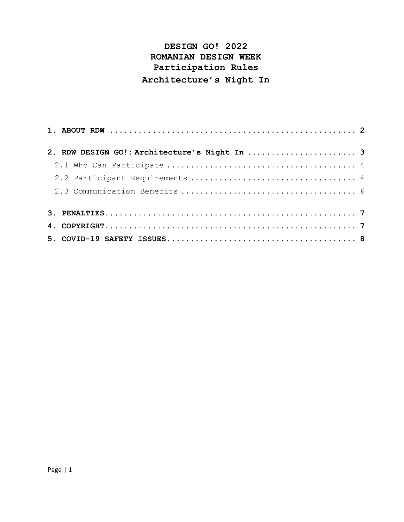# **DESIGN GO! 2022 ROMANIAN DESIGN WEEK Participation Rules Architecture's Night In**

| 2. RDW DESIGN GO!: Architecture's Night In  3 |  |
|-----------------------------------------------|--|
|                                               |  |
|                                               |  |
|                                               |  |
|                                               |  |
|                                               |  |
|                                               |  |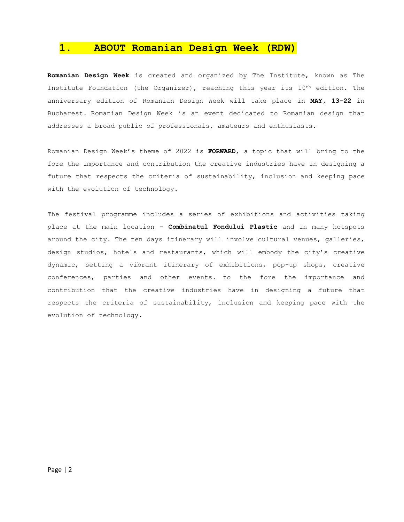### **1. ABOUT Romanian Design Week (RDW)**

**Romanian Design Week** is created and organized by The Institute, known as The Institute Foundation (the Organizer), reaching this year its 10<sup>th</sup> edition. The anniversary edition of Romanian Design Week will take place in **MAY, 13-22** in Bucharest. Romanian Design Week is an event dedicated to Romanian design that addresses a broad public of professionals, amateurs and enthusiasts.

Romanian Design Week's theme of 2022 is **FORWARD**, a topic that will bring to the fore the importance and contribution the creative industries have in designing a future that respects the criteria of sustainability, inclusion and keeping pace with the evolution of technology.

The festival programme includes a series of exhibitions and activities taking place at the main location – **Combinatul Fondului Plastic** and in many hotspots around the city. The ten days itinerary will involve cultural venues, galleries, design studios, hotels and restaurants, which will embody the city's creative dynamic, setting a vibrant itinerary of exhibitions, pop-up shops, creative conferences, parties and other events. to the fore the importance and contribution that the creative industries have in designing a future that respects the criteria of sustainability, inclusion and keeping pace with the evolution of technology.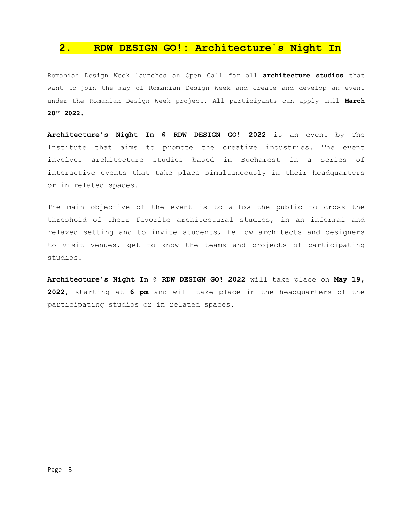### **2. RDW DESIGN GO!: Architecture`s Night In**

Romanian Design Week launches an Open Call for all **architecture studios** that want to join the map of Romanian Design Week and create and develop an event under the Romanian Design Week project. All participants can apply unil **March 28th 2022.**

**Architecture's Night In @ RDW DESIGN GO! 2022** is an event by The Institute that aims to promote the creative industries. The event involves architecture studios based in Bucharest in a series of interactive events that take place simultaneously in their headquarters or in related spaces.

The main objective of the event is to allow the public to cross the threshold of their favorite architectural studios, in an informal and relaxed setting and to invite students, fellow architects and designers to visit venues, get to know the teams and projects of participating studios.

**Architecture's Night In @ RDW DESIGN GO! 2022** will take place on **May 19, 2022**, starting at **6 pm** and will take place in the headquarters of the participating studios or in related spaces.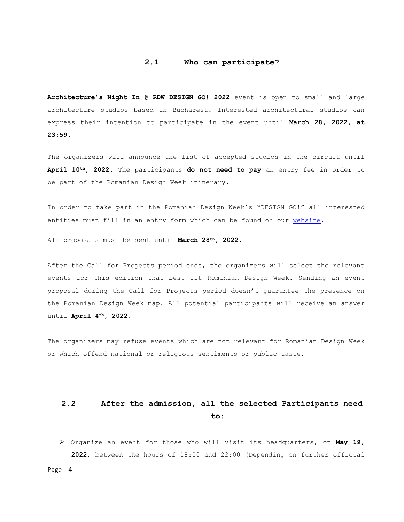#### **2.1 Who can participate?**

**Architecture's Night In @ RDW DESIGN GO! 2022** event is open to small and large architecture studios based in Bucharest. Interested architectural studios can express their intention to participate in the event until **March 28, 2022, at 23:59.**

The organizers will announce the list of accepted studios in the circuit until **April 10th, 2022**. The participants **do not need to pay** an entry fee in order to be part of the Romanian Design Week itinerary.

In order to take part in the Romanian Design Week's "DESIGN GO!" all interested entities must fill in an entry form which can be found on our [website.](http://www.romaniandesignweek.ro/)

All proposals must be sent until **March 28th, 2022.**

After the Call for Projects period ends, the organizers will select the relevant events for this edition that best fit Romanian Design Week. Sending an event proposal during the Call for Projects period doesn't guarantee the presence on the Romanian Design Week map. All potential participants will receive an answer until **April 4th, 2022.**

The organizers may refuse events which are not relevant for Romanian Design Week or which offend national or religious sentiments or public taste.

## **2.2 After the admission, all the selected Participants need to:**

➢ Organize an event for those who will visit its headquarters, on **May 19, 2022**, between the hours of 18:00 and 22:00 (Depending on further official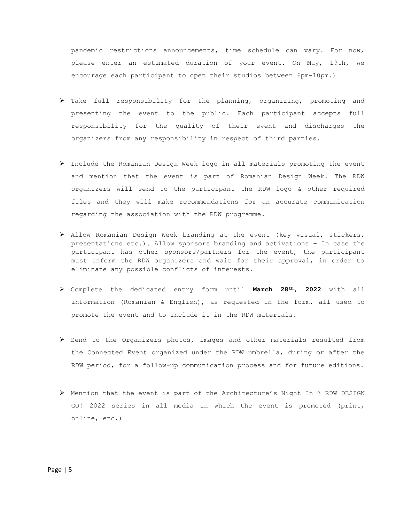pandemic restrictions announcements, time schedule can vary. For now, please enter an estimated duration of your event. On May, 19th, we encourage each participant to open their studios between 6pm-10pm.)

- ➢ Take full responsibility for the planning, organizing, promoting and presenting the event to the public. Each participant accepts full responsibility for the quality of their event and discharges the organizers from any responsibility in respect of third parties.
- ➢ Include the Romanian Design Week logo in all materials promoting the event and mention that the event is part of Romanian Design Week. The RDW organizers will send to the participant the RDW logo & other required files and they will make recommendations for an accurate communication regarding the association with the RDW programme.
- ➢ Allow Romanian Design Week branding at the event (key visual, stickers, presentations etc.). Allow sponsors branding and activations – In case the participant has other sponsors/partners for the event, the participant must inform the RDW organizers and wait for their approval, in order to eliminate any possible conflicts of interests.
- ➢ Complete the dedicated entry form until **March 28th, 2022** with all information (Romanian & English), as requested in the form, all used to promote the event and to include it in the RDW materials.
- ➢ Send to the Organizers photos, images and other materials resulted from the Connected Event organized under the RDW umbrella, during or after the RDW period, for a follow-up communication process and for future editions.
- ➢ Mention that the event is part of the Architecture's Night In @ RDW DESIGN GO! 2022 series in all media in which the event is promoted (print, online, etc.)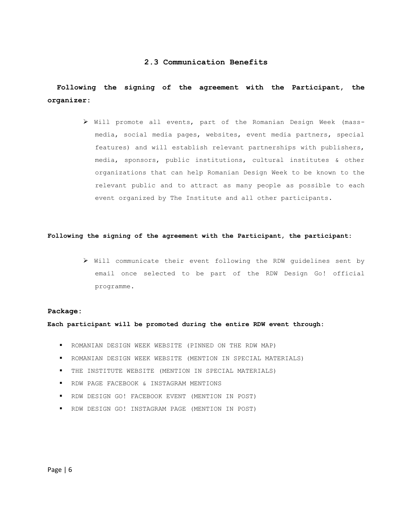#### **2.3 Communication Benefits**

### **Following the signing of the agreement with the Participant, the organizer:**

➢ Will promote all events, part of the Romanian Design Week (massmedia, social media pages, websites, event media partners, special features) and will establish relevant partnerships with publishers, media, sponsors, public institutions, cultural institutes & other organizations that can help Romanian Design Week to be known to the relevant public and to attract as many people as possible to each event organized by The Institute and all other participants.

#### **Following the signing of the agreement with the Participant, the participant:**

➢ Will communicate their event following the RDW guidelines sent by email once selected to be part of the RDW Design Go! official programme.

#### **Package:**

**Each participant will be promoted during the entire RDW event through:**

- ROMANIAN DESIGN WEEK WEBSITE (PINNED ON THE RDW MAP)
- ROMANIAN DESIGN WEEK WEBSITE (MENTION IN SPECIAL MATERIALS)
- THE INSTITUTE WEBSITE (MENTION IN SPECIAL MATERIALS)
- RDW PAGE FACEBOOK & INSTAGRAM MENTIONS
- RDW DESIGN GO! FACEBOOK EVENT (MENTION IN POST)
- RDW DESIGN GO! INSTAGRAM PAGE (MENTION IN POST)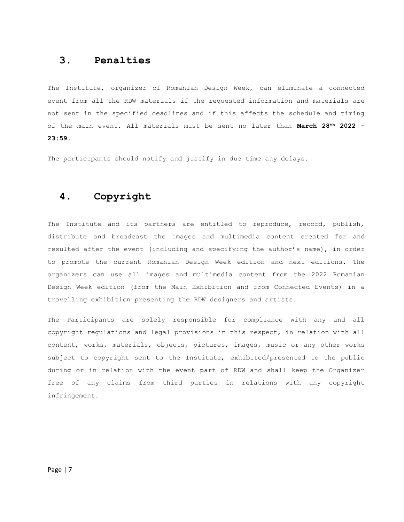### **3. Penalties**

The Institute, organizer of Romanian Design Week, can eliminate a connected event from all the RDW materials if the requested information and materials are not sent in the specified deadlines and if this affects the schedule and timing of the main event. All materials must be sent no later than **March 28th 2022 - 23:59.**

The participants should notify and justify in due time any delays.

# **4. Copyright**

The Institute and its partners are entitled to reproduce, record, publish, distribute and broadcast the images and multimedia content created for and resulted after the event (including and specifying the author's name), in order to promote the current Romanian Design Week edition and next editions. The organizers can use all images and multimedia content from the 2022 Romanian Design Week edition (from the Main Exhibition and from Connected Events) in a travelling exhibition presenting the RDW designers and artists.

The Participants are solely responsible for compliance with any and all copyright regulations and legal provisions in this respect, in relation with all content, works, materials, objects, pictures, images, music or any other works subject to copyright sent to the Institute, exhibited/presented to the public during or in relation with the event part of RDW and shall keep the Organizer free of any claims from third parties in relations with any copyright infringement.